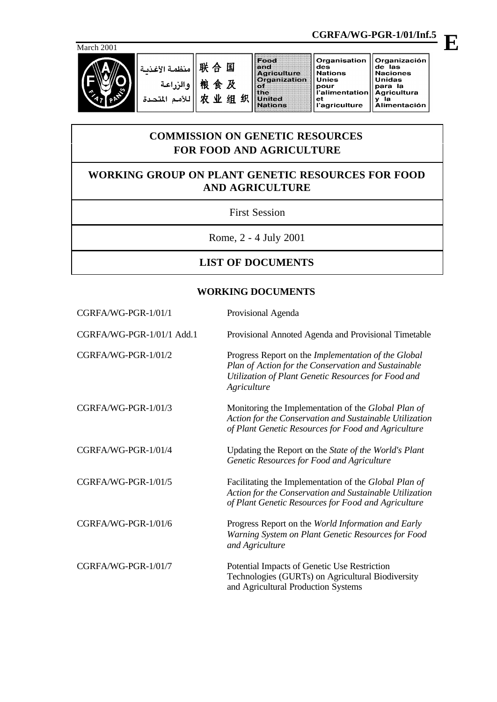

联合国 منظمة الأغذسة 粮食及 والزراعة 农业组织 للأمم المتحدة

des<br>Nations

Unies

 $et$ 

# **COMMISSION ON GENETIC RESOURCES FOR FOOD AND AGRICULTURE**

## **WORKING GROUP ON PLANT GENETIC RESOURCES FOR FOOD AND AGRICULTURE**

#### First Session

Rome, 2 - 4 July 2001

### **LIST OF DOCUMENTS**

#### **WORKING DOCUMENTS**

| CGRFA/WG-PGR-1/01/1       | Provisional Agenda                                                                                                                                                               |
|---------------------------|----------------------------------------------------------------------------------------------------------------------------------------------------------------------------------|
| CGRFA/WG-PGR-1/01/1 Add.1 | Provisional Annoted Agenda and Provisional Timetable                                                                                                                             |
| CGRFA/WG-PGR-1/01/2       | Progress Report on the Implementation of the Global<br>Plan of Action for the Conservation and Sustainable<br>Utilization of Plant Genetic Resources for Food and<br>Agriculture |
| CGRFA/WG-PGR-1/01/3       | Monitoring the Implementation of the Global Plan of<br>Action for the Conservation and Sustainable Utilization<br>of Plant Genetic Resources for Food and Agriculture            |
| CGRFA/WG-PGR-1/01/4       | Updating the Report on the State of the World's Plant<br>Genetic Resources for Food and Agriculture                                                                              |
| CGRFA/WG-PGR-1/01/5       | Facilitating the Implementation of the Global Plan of<br>Action for the Conservation and Sustainable Utilization<br>of Plant Genetic Resources for Food and Agriculture          |
| CGRFA/WG-PGR-1/01/6       | Progress Report on the World Information and Early<br>Warning System on Plant Genetic Resources for Food<br>and Agriculture                                                      |
| CGRFA/WG-PGR-1/01/7       | Potential Impacts of Genetic Use Restriction<br>Technologies (GURTs) on Agricultural Biodiversity<br>and Agricultural Production Systems                                         |